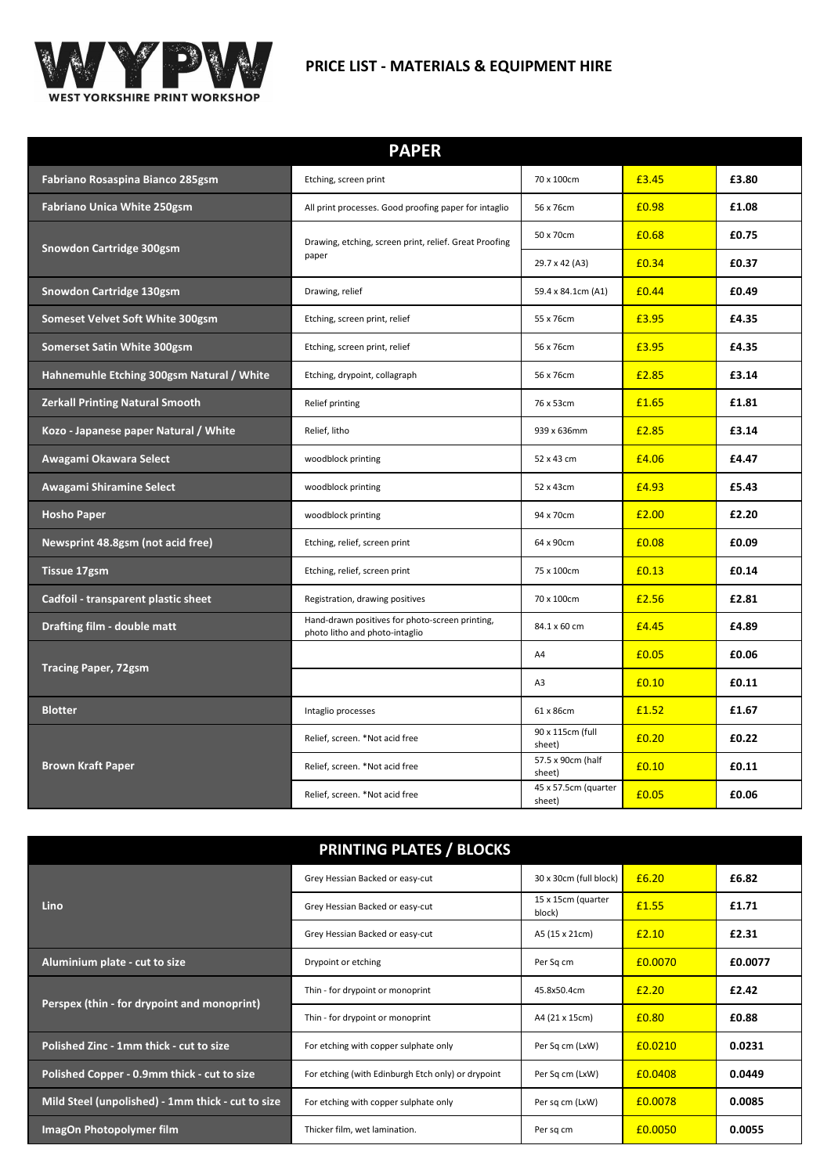

# **PRICE LIST - MATERIALS & EQUIPMENT HIRE**

| <b>PAPER</b>                              |                                                                                   |                                |       |       |
|-------------------------------------------|-----------------------------------------------------------------------------------|--------------------------------|-------|-------|
| Fabriano Rosaspina Bianco 285gsm          | Etching, screen print                                                             | 70 x 100cm                     | £3.45 | £3.80 |
| <b>Fabriano Unica White 250gsm</b>        | All print processes. Good proofing paper for intaglio                             | 56 x 76cm                      | £0.98 | £1.08 |
|                                           | Drawing, etching, screen print, relief. Great Proofing                            | 50 x 70cm                      | £0.68 | £0.75 |
| <b>Snowdon Cartridge 300gsm</b>           | paper                                                                             | 29.7 x 42 (A3)                 | £0.34 | £0.37 |
| <b>Snowdon Cartridge 130gsm</b>           | Drawing, relief                                                                   | 59.4 x 84.1cm (A1)             | £0.44 | £0.49 |
| Someset Velvet Soft White 300gsm          | Etching, screen print, relief                                                     | 55 x 76cm                      | £3.95 | £4.35 |
| <b>Somerset Satin White 300gsm</b>        | Etching, screen print, relief                                                     | 56 x 76cm                      | £3.95 | £4.35 |
| Hahnemuhle Etching 300gsm Natural / White | Etching, drypoint, collagraph                                                     | 56 x 76cm                      | £2.85 | £3.14 |
| <b>Zerkall Printing Natural Smooth</b>    | Relief printing                                                                   | 76 x 53cm                      | £1.65 | £1.81 |
| Kozo - Japanese paper Natural / White     | Relief, litho                                                                     | 939 x 636mm                    | £2.85 | £3.14 |
| Awagami Okawara Select                    | woodblock printing                                                                | 52 x 43 cm                     | £4.06 | £4.47 |
| Awagami Shiramine Select                  | woodblock printing                                                                | 52 x 43cm                      | £4.93 | £5.43 |
| <b>Hosho Paper</b>                        | woodblock printing                                                                | 94 x 70cm                      | £2.00 | £2.20 |
| Newsprint 48.8gsm (not acid free)         | Etching, relief, screen print                                                     | 64 x 90cm                      | £0.08 | £0.09 |
| <b>Tissue 17gsm</b>                       | Etching, relief, screen print                                                     | 75 x 100cm                     | £0.13 | £0.14 |
| Cadfoil - transparent plastic sheet       | Registration, drawing positives                                                   | 70 x 100cm                     | £2.56 | £2.81 |
| Drafting film - double matt               | Hand-drawn positives for photo-screen printing,<br>photo litho and photo-intaglio | 84.1 x 60 cm                   | £4.45 | £4.89 |
| <b>Tracing Paper, 72gsm</b>               |                                                                                   | A4                             | £0.05 | £0.06 |
|                                           |                                                                                   | A3                             | £0.10 | £0.11 |
| <b>Blotter</b>                            | Intaglio processes                                                                | 61 x 86cm                      | £1.52 | £1.67 |
|                                           | Relief, screen. *Not acid free                                                    | 90 x 115cm (full<br>sheet)     | £0.20 | £0.22 |
| <b>Brown Kraft Paper</b>                  | Relief, screen. *Not acid free                                                    | 57.5 x 90cm (half<br>sheet)    | £0.10 | £0.11 |
|                                           | Relief, screen. *Not acid free                                                    | 45 x 57.5cm (quarter<br>sheet) | £0.05 | £0.06 |

|                                                   | <b>PRINTING PLATES / BLOCKS</b>                    |                              |         |         |
|---------------------------------------------------|----------------------------------------------------|------------------------------|---------|---------|
|                                                   | Grey Hessian Backed or easy-cut                    | 30 x 30cm (full block)       | £6.20   | £6.82   |
| <b>Lino</b>                                       | Grey Hessian Backed or easy-cut                    | 15 x 15cm (quarter<br>block) | £1.55   | £1.71   |
|                                                   | Grey Hessian Backed or easy-cut                    | A5 (15 x 21cm)               | £2.10   | £2.31   |
| Aluminium plate - cut to size                     | Drypoint or etching                                | Per Sq cm                    | £0.0070 | £0.0077 |
| Perspex (thin - for drypoint and monoprint)       | Thin - for drypoint or monoprint                   | 45.8x50.4cm                  | £2.20   | £2.42   |
|                                                   | Thin - for drypoint or monoprint                   | A4 (21 x 15cm)               | £0.80   | £0.88   |
| Polished Zinc - 1mm thick - cut to size           | For etching with copper sulphate only              | Per Sq cm (LxW)              | £0.0210 | 0.0231  |
| Polished Copper - 0.9mm thick - cut to size       | For etching (with Edinburgh Etch only) or drypoint | Per Sq cm (LxW)              | £0.0408 | 0.0449  |
| Mild Steel (unpolished) - 1mm thick - cut to size | For etching with copper sulphate only              | Per sq cm (LxW)              | £0.0078 | 0.0085  |
| ImagOn Photopolymer film                          | Thicker film, wet lamination.                      | Per sq cm                    | £0.0050 | 0.0055  |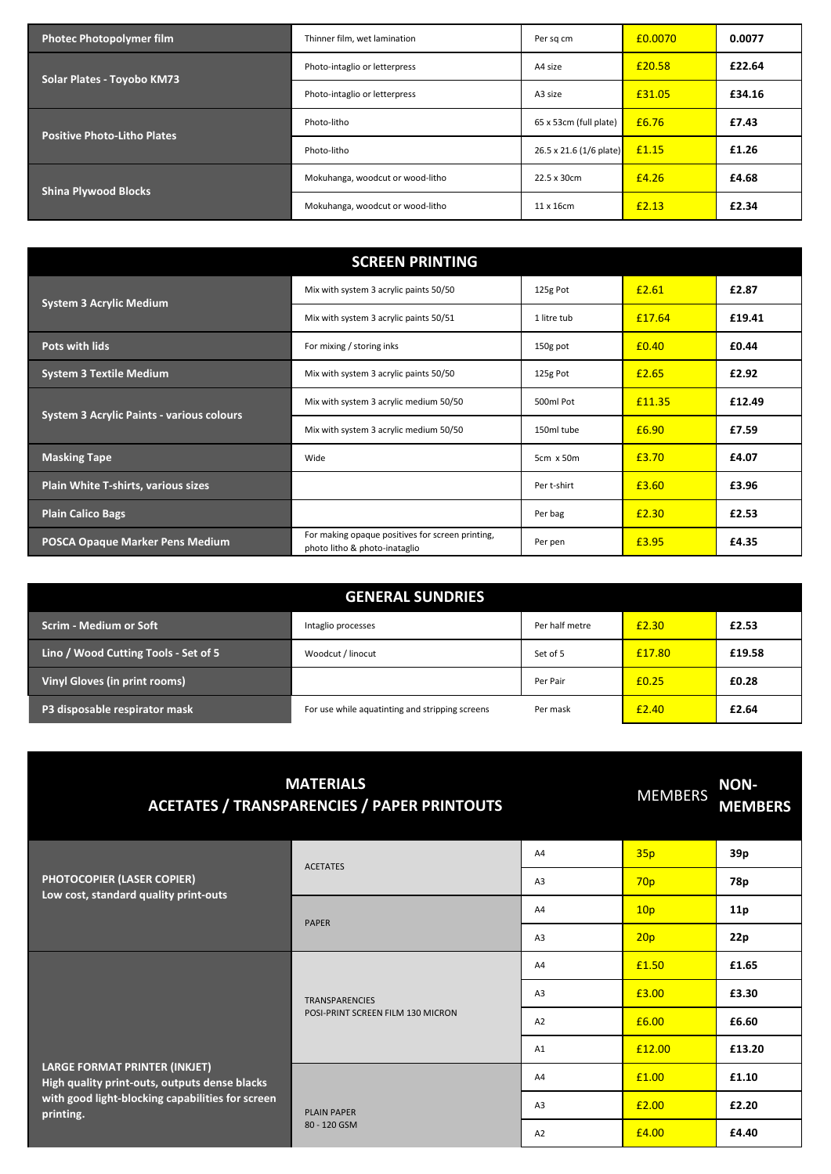| <b>Photec Photopolymer film</b>    | Thinner film, wet lamination     | Per sq cm                      | £0.0070 | 0.0077 |
|------------------------------------|----------------------------------|--------------------------------|---------|--------|
| Solar Plates - Toyobo KM73         | Photo-intaglio or letterpress    | A4 size                        | £20.58  | £22.64 |
|                                    | Photo-intaglio or letterpress    | A3 size                        | £31.05  | £34.16 |
| <b>Positive Photo-Litho Plates</b> | Photo-litho                      | 65 x 53cm (full plate)         | £6.76   | £7.43  |
|                                    | Photo-litho                      | $26.5 \times 21.6$ (1/6 plate) | £1.15   | £1.26  |
| <b>Shina Plywood Blocks</b>        | Mokuhanga, woodcut or wood-litho | 22.5 x 30cm                    | £4.26   | £4.68  |
|                                    | Mokuhanga, woodcut or wood-litho | $11 \times 16$ cm              | £2.13   | £2.34  |

| <b>SCREEN PRINTING</b>                           |                                                                                   |             |        |        |
|--------------------------------------------------|-----------------------------------------------------------------------------------|-------------|--------|--------|
|                                                  | Mix with system 3 acrylic paints 50/50                                            | 125g Pot    | £2.61  | £2.87  |
| <b>System 3 Acrylic Medium</b>                   | Mix with system 3 acrylic paints 50/51                                            | 1 litre tub | £17.64 | £19.41 |
| Pots with lids                                   | For mixing / storing inks                                                         | 150g pot    | £0.40  | £0.44  |
| <b>System 3 Textile Medium</b>                   | Mix with system 3 acrylic paints 50/50                                            | 125g Pot    | £2.65  | £2.92  |
| <b>System 3 Acrylic Paints - various colours</b> | Mix with system 3 acrylic medium 50/50                                            | 500ml Pot   | £11.35 | £12.49 |
|                                                  | Mix with system 3 acrylic medium 50/50                                            | 150ml tube  | £6.90  | £7.59  |
| <b>Masking Tape</b>                              | Wide                                                                              | 5cm x 50m   | £3.70  | £4.07  |
| <b>Plain White T-shirts, various sizes</b>       |                                                                                   | Per t-shirt | £3.60  | £3.96  |
| <b>Plain Calico Bags</b>                         |                                                                                   | Per bag     | £2.30  | £2.53  |
| <b>POSCA Opaque Marker Pens Medium</b>           | For making opaque positives for screen printing,<br>photo litho & photo-inataglio | Per pen     | £3.95  | £4.35  |

| <b>GENERAL SUNDRIES</b>              |                                                 |                |        |        |
|--------------------------------------|-------------------------------------------------|----------------|--------|--------|
| <b>Scrim - Medium or Soft</b>        | Intaglio processes                              | Per half metre | £2.30  | £2.53  |
| Lino / Wood Cutting Tools - Set of 5 | Woodcut / linocut                               | Set of 5       | £17.80 | £19.58 |
| <b>Vinyl Gloves (in print rooms)</b> |                                                 | Per Pair       | £0.25  | £0.28  |
| P3 disposable respirator mask        | For use while aquatinting and stripping screens | Per mask       | £2.40  | £2.64  |

| <b>MATERIALS</b><br><b>ACETATES / TRANSPARENCIES / PAPER PRINTOUTS</b>                                                                          |                                                            | <b>MEMBERS</b> | <b>NON-</b><br><b>MEMBERS</b> |                 |
|-------------------------------------------------------------------------------------------------------------------------------------------------|------------------------------------------------------------|----------------|-------------------------------|-----------------|
|                                                                                                                                                 | <b>ACETATES</b>                                            | A4             | 35p                           | 39 <sub>p</sub> |
| <b>PHOTOCOPIER (LASER COPIER)</b><br>Low cost, standard quality print-outs                                                                      |                                                            | A <sub>3</sub> | 70 <sub>p</sub>               | 78p             |
|                                                                                                                                                 | <b>PAPER</b>                                               | A4             | 10 <sub>p</sub>               | 11p             |
|                                                                                                                                                 |                                                            | A <sub>3</sub> | 20p                           | 22p             |
| LARGE FORMAT PRINTER (INKJET)<br>High quality print-outs, outputs dense blacks<br>with good light-blocking capabilities for screen<br>printing. | <b>TRANSPARENCIES</b><br>POSI-PRINT SCREEN FILM 130 MICRON | A4             | £1.50                         | £1.65           |
|                                                                                                                                                 |                                                            | A <sub>3</sub> | £3.00                         | £3.30           |
|                                                                                                                                                 |                                                            | A2             | £6.00                         | £6.60           |
|                                                                                                                                                 |                                                            | A1             | £12.00                        | £13.20          |
|                                                                                                                                                 | <b>PLAIN PAPER</b>                                         | A4             | £1.00                         | £1.10           |
|                                                                                                                                                 |                                                            | A <sub>3</sub> | £2.00                         | £2.20           |
|                                                                                                                                                 | 80 - 120 GSM                                               | A <sub>2</sub> | £4.00                         | £4.40           |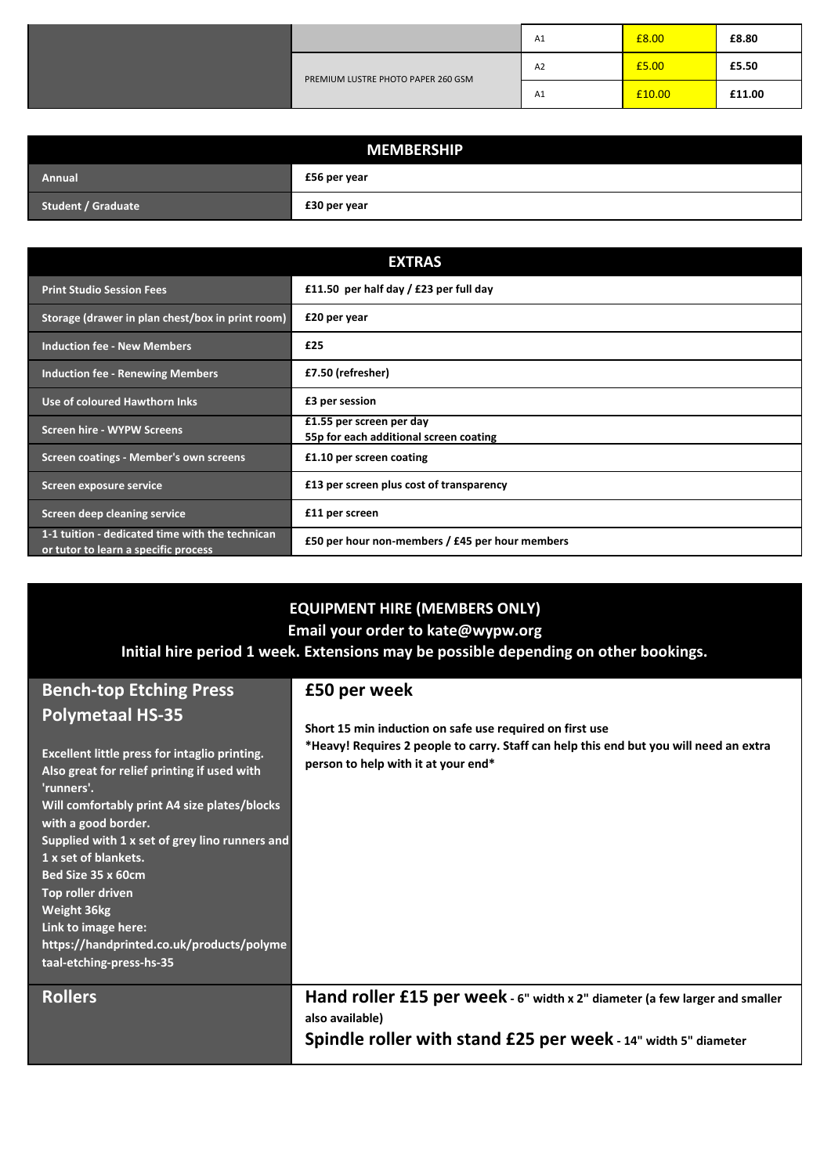|                                    |    | A1    | £8.00  | £8.80  |
|------------------------------------|----|-------|--------|--------|
| PREMIUM LUSTRE PHOTO PAPER 260 GSM | A2 | £5.00 | £5.50  |        |
|                                    |    | A1    | £10.00 | £11.00 |

| <b>MEMBERSHIP</b>         |              |  |
|---------------------------|--------------|--|
| Annual                    | £56 per year |  |
| <b>Student / Graduate</b> | £30 per year |  |

|                                                                                         | <b>EXTRAS</b>                                                      |
|-----------------------------------------------------------------------------------------|--------------------------------------------------------------------|
| <b>Print Studio Session Fees</b>                                                        | £11.50 per half day / £23 per full day                             |
| Storage (drawer in plan chest/box in print room)                                        | £20 per year                                                       |
| <b>Induction fee - New Members</b>                                                      | £25                                                                |
| <b>Induction fee - Renewing Members</b>                                                 | £7.50 (refresher)                                                  |
| Use of coloured Hawthorn Inks                                                           | £3 per session                                                     |
| <b>Screen hire - WYPW Screens</b>                                                       | £1.55 per screen per day<br>55p for each additional screen coating |
| Screen coatings - Member's own screens                                                  | £1.10 per screen coating                                           |
| Screen exposure service                                                                 | £13 per screen plus cost of transparency                           |
| Screen deep cleaning service                                                            | £11 per screen                                                     |
| 1-1 tuition - dedicated time with the technican<br>or tutor to learn a specific process | £50 per hour non-members / £45 per hour members                    |

## **EQUIPMENT HIRE (MEMBERS ONLY)**

**Email your order to kate@wypw.org**

### **Initial hire period 1 week. Extensions may be possible depending on other bookings.**

## **Bench-top Etching Press Polymetaal HS-35**

### **Excellent little press for intaglio printing. Also great for relief printing if used with 'runners'. Will comfortably print A4 size plates/blocks with a good border. Supplied with 1 x set of grey lino runners and 1 x set of blankets. Bed Size 35 x 60cm Top roller driven Weight 36kg Link to image here: https://handprinted.co.uk/products/polyme taal-etching-press-hs-35**

### **Rollers**

**£50 per week**

**Short 15 min induction on safe use required on first use \*Heavy! Requires 2 people to carry. Staff can help this end but you will need an extra person to help with it at your end\***

**Hand roller £15 per week - 6" width x 2" diameter (a few larger and smaller also available) Spindle roller with stand £25 per week - 14" width 5" diameter**